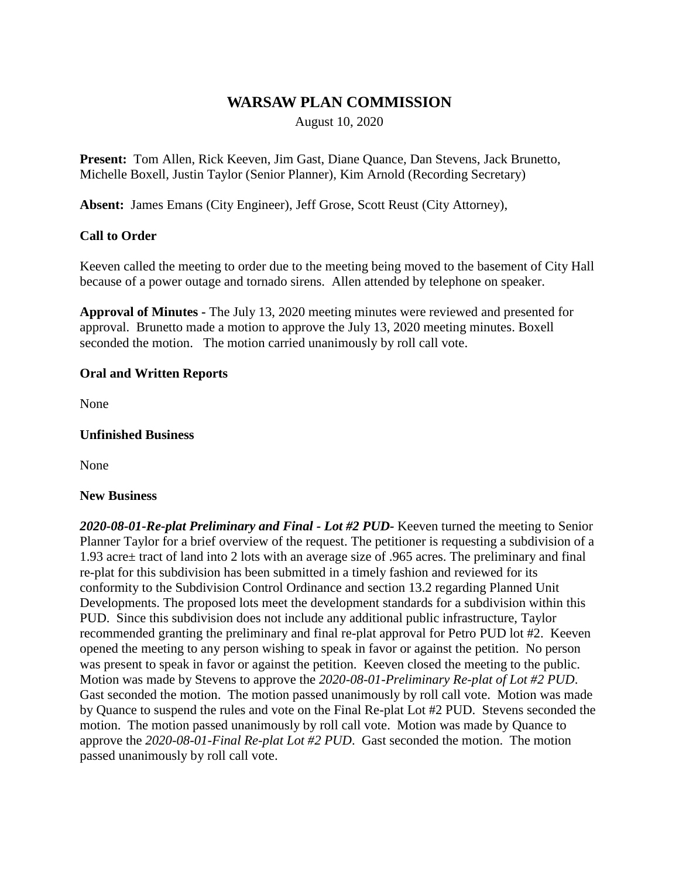# **WARSAW PLAN COMMISSION**

August 10, 2020

**Present:** Tom Allen, Rick Keeven, Jim Gast, Diane Quance, Dan Stevens, Jack Brunetto, Michelle Boxell, Justin Taylor (Senior Planner), Kim Arnold (Recording Secretary)

**Absent:** James Emans (City Engineer), Jeff Grose, Scott Reust (City Attorney),

### **Call to Order**

Keeven called the meeting to order due to the meeting being moved to the basement of City Hall because of a power outage and tornado sirens. Allen attended by telephone on speaker.

**Approval of Minutes -** The July 13, 2020 meeting minutes were reviewed and presented for approval. Brunetto made a motion to approve the July 13, 2020 meeting minutes. Boxell seconded the motion. The motion carried unanimously by roll call vote.

### **Oral and Written Reports**

None

#### **Unfinished Business**

None

#### **New Business**

*2020-08-01-Re-plat Preliminary and Final - Lot #2 PUD-* Keeven turned the meeting to Senior Planner Taylor for a brief overview of the request. The petitioner is requesting a subdivision of a 1.93 acre± tract of land into 2 lots with an average size of .965 acres. The preliminary and final re-plat for this subdivision has been submitted in a timely fashion and reviewed for its conformity to the Subdivision Control Ordinance and section 13.2 regarding Planned Unit Developments. The proposed lots meet the development standards for a subdivision within this PUD. Since this subdivision does not include any additional public infrastructure, Taylor recommended granting the preliminary and final re-plat approval for Petro PUD lot #2. Keeven opened the meeting to any person wishing to speak in favor or against the petition. No person was present to speak in favor or against the petition. Keeven closed the meeting to the public. Motion was made by Stevens to approve the *2020-08-01-Preliminary Re-plat of Lot #2 PUD*. Gast seconded the motion. The motion passed unanimously by roll call vote. Motion was made by Quance to suspend the rules and vote on the Final Re-plat Lot #2 PUD. Stevens seconded the motion. The motion passed unanimously by roll call vote. Motion was made by Quance to approve the *2020-08-01-Final Re-plat Lot #2 PUD*. Gast seconded the motion. The motion passed unanimously by roll call vote.